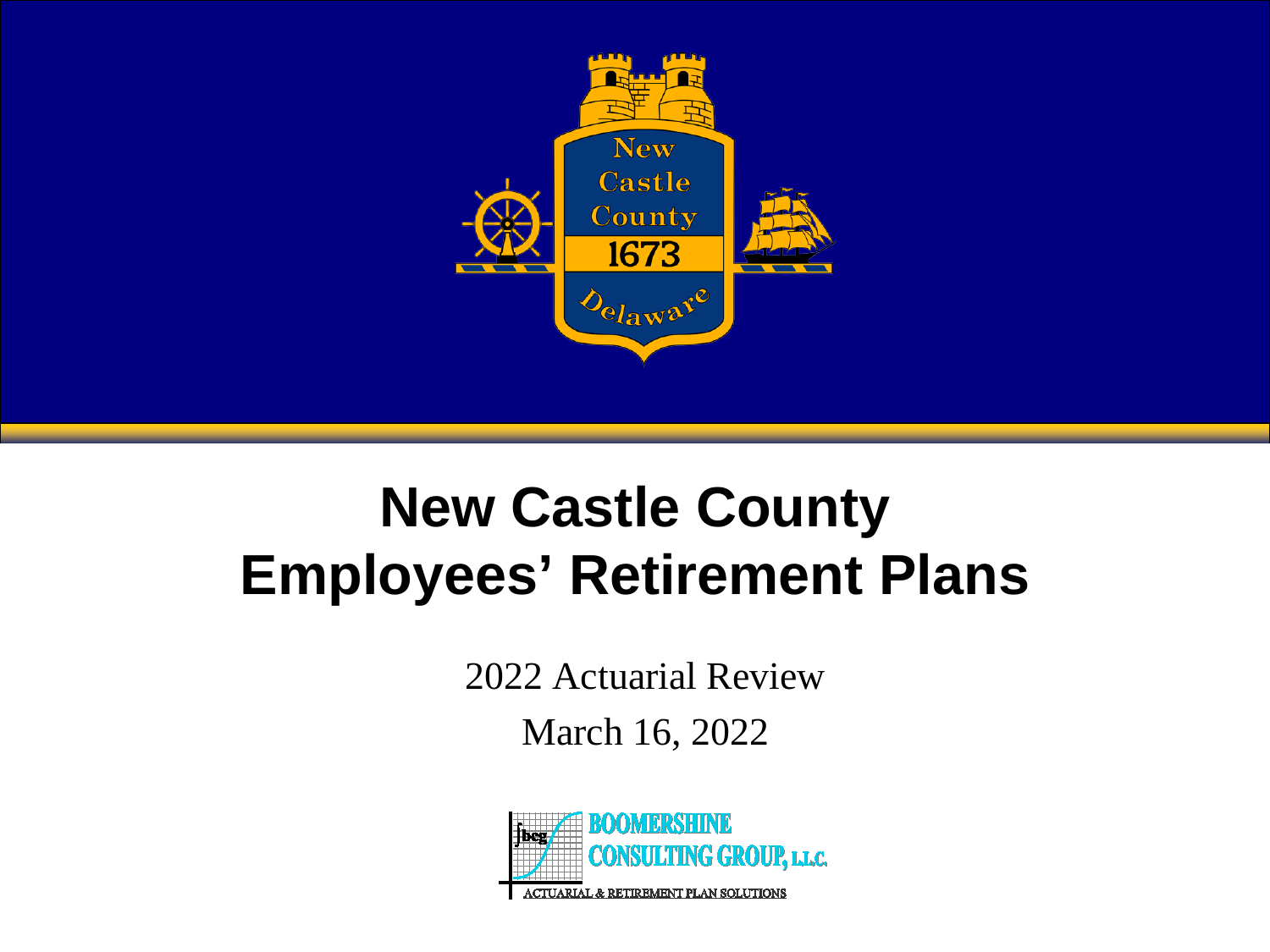

#### **New Castle County Employees' Retirement Plans**

2022 Actuarial Review

March 16, 2022

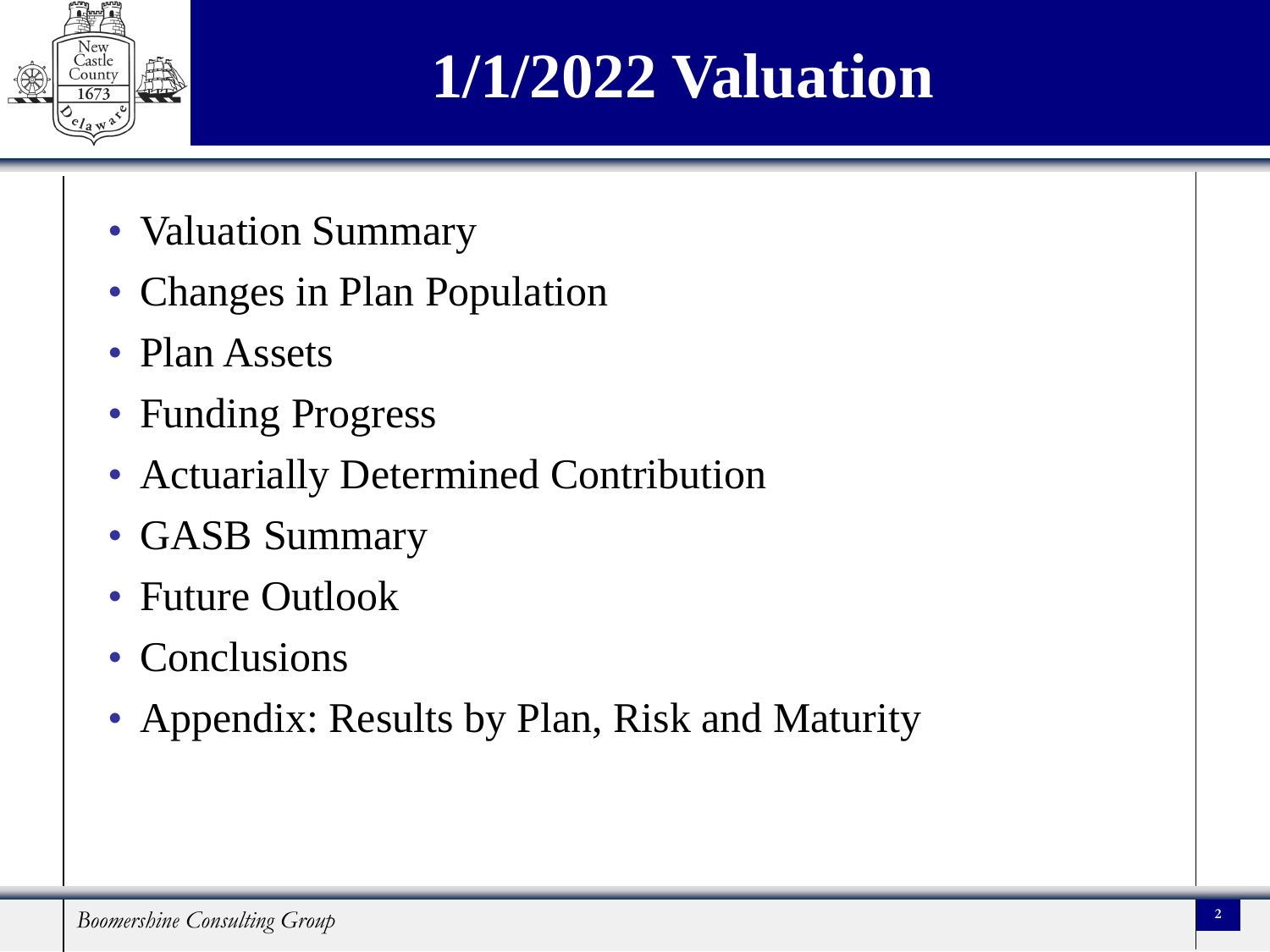

### **1/1/2022 Valuation**

- Valuation Summary
- Changes in Plan Population
- Plan Assets
- Funding Progress
- Actuarially Determined Contribution
- GASB Summary
- Future Outlook
- Conclusions
- Appendix: Results by Plan, Risk and Maturity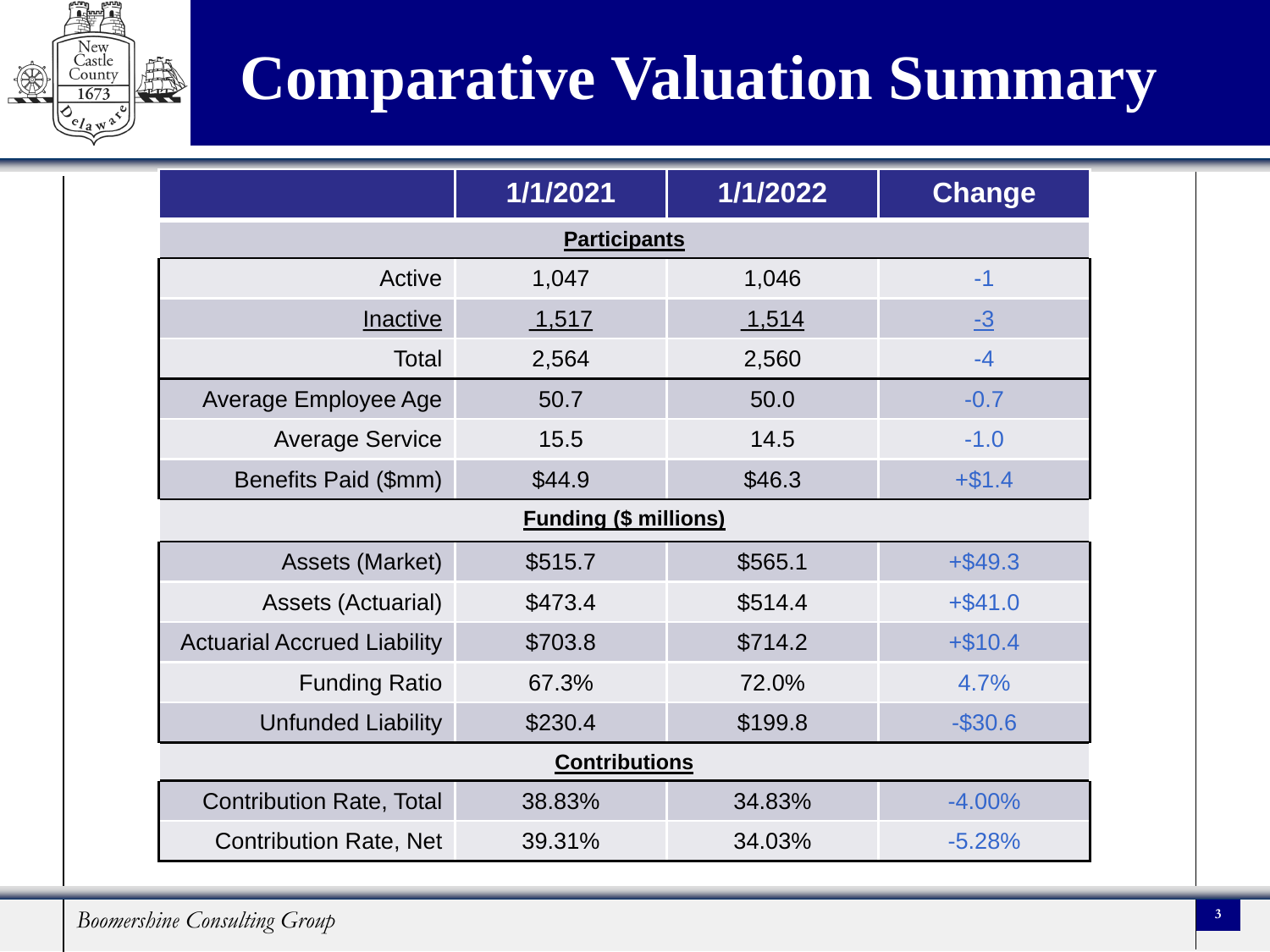

## **Comparative Valuation Summary**

|                                    | 1/1/2021                     | 1/1/2022 | <b>Change</b> |  |  |  |
|------------------------------------|------------------------------|----------|---------------|--|--|--|
| <b>Participants</b>                |                              |          |               |  |  |  |
| Active                             | 1,047                        | 1,046    | $-1$          |  |  |  |
| <b>Inactive</b>                    | 1,517                        | 1,514    | $-3$          |  |  |  |
| Total                              | 2,564                        | 2,560    | $-4$          |  |  |  |
| Average Employee Age               | 50.7                         | 50.0     | $-0.7$        |  |  |  |
| <b>Average Service</b>             | 15.5                         | 14.5     | $-1.0$        |  |  |  |
| Benefits Paid (\$mm)               | \$44.9                       | \$46.3   | $+ $1.4$      |  |  |  |
|                                    | <b>Funding (\$ millions)</b> |          |               |  |  |  |
| Assets (Market)                    | \$515.7                      | \$565.1  | $+$ \$49.3    |  |  |  |
| Assets (Actuarial)                 | \$473.4                      | \$514.4  | $+ $41.0$     |  |  |  |
| <b>Actuarial Accrued Liability</b> | \$703.8                      | \$714.2  | $+ $10.4$     |  |  |  |
| <b>Funding Ratio</b>               | 67.3%                        | 72.0%    | 4.7%          |  |  |  |
| <b>Unfunded Liability</b>          | \$230.4                      | \$199.8  | $-$30.6$      |  |  |  |
|                                    | <b>Contributions</b>         |          |               |  |  |  |
| <b>Contribution Rate, Total</b>    | 38.83%                       | 34.83%   | $-4.00%$      |  |  |  |
| <b>Contribution Rate, Net</b>      | 39.31%                       | 34.03%   | $-5.28%$      |  |  |  |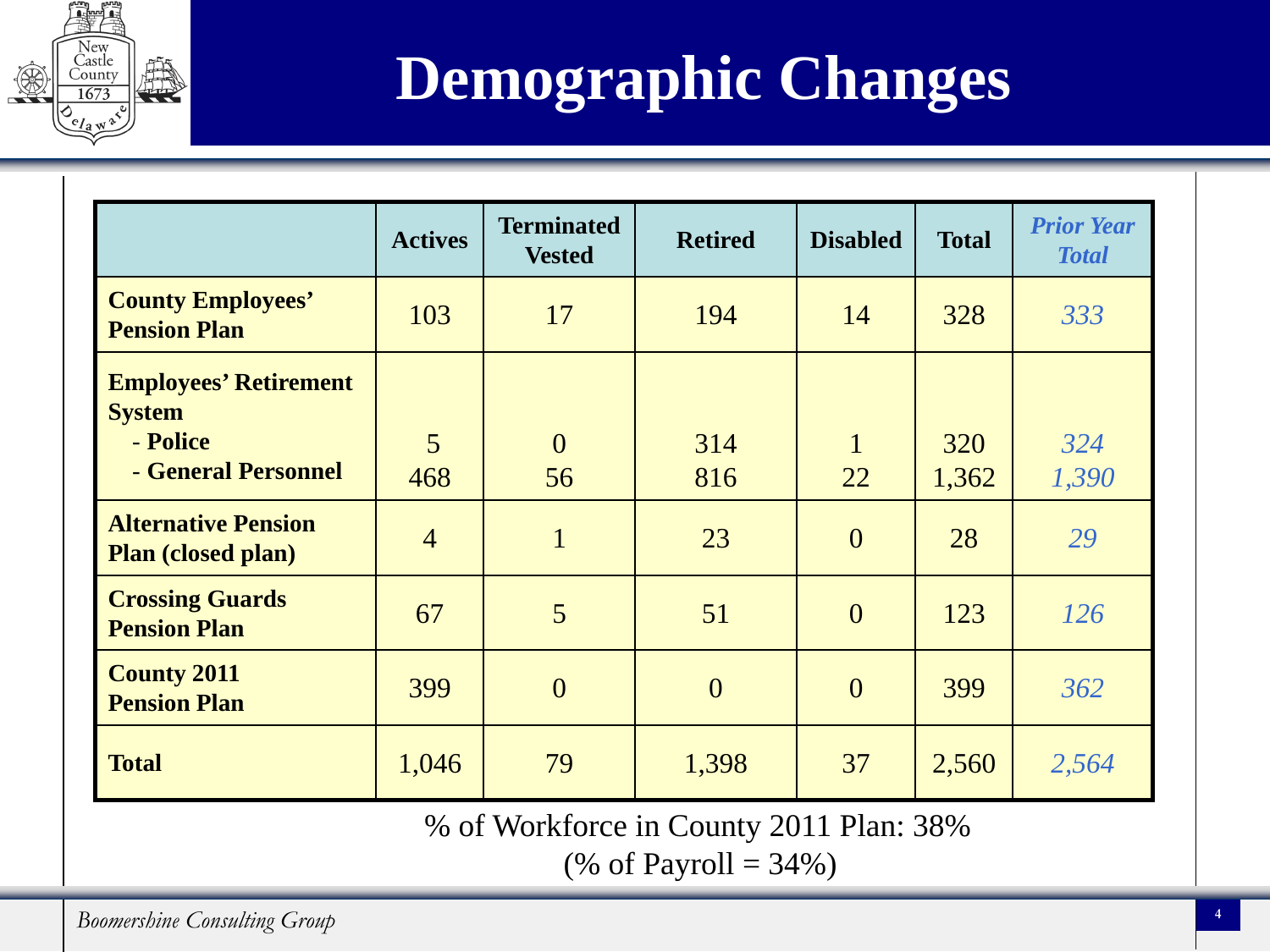

## **Demographic Changes**

|                                                         | <b>Actives</b> | <b>Terminated</b><br><b>Vested</b> | <b>Retired</b> | <b>Disabled</b> | <b>Total</b> | <b>Prior Year</b><br><b>Total</b> |
|---------------------------------------------------------|----------------|------------------------------------|----------------|-----------------|--------------|-----------------------------------|
| <b>County Employees'</b><br><b>Pension Plan</b>         | 103            | 17                                 | 194            | 14              | 328          | 333                               |
| <b>Employees' Retirement</b><br><b>System</b>           |                |                                    |                |                 |              |                                   |
| - Police<br>- General Personnel                         | 5<br>468       | $\overline{0}$<br>56               | 314<br>816     | 1<br>22         | 320<br>1,362 | 324<br>1,390                      |
| <b>Alternative Pension</b><br><b>Plan (closed plan)</b> | $\overline{4}$ | $\mathbf{1}$                       | 23             | $\overline{0}$  | 28           | 29                                |
| <b>Crossing Guards</b><br><b>Pension Plan</b>           | 67             | 5                                  | 51             | $\overline{0}$  | 123          | 126                               |
| <b>County 2011</b><br><b>Pension Plan</b>               | 399            | $\overline{0}$                     | $\overline{0}$ | $\overline{0}$  | 399          | 362                               |
| <b>Total</b>                                            | 1,046          | 79                                 | 1,398          | 37              | 2,560        | 2,564                             |
| % of Workforce in County 2011 Plan: 38%                 |                |                                    |                |                 |              |                                   |

(% of Payroll =  $34%$ )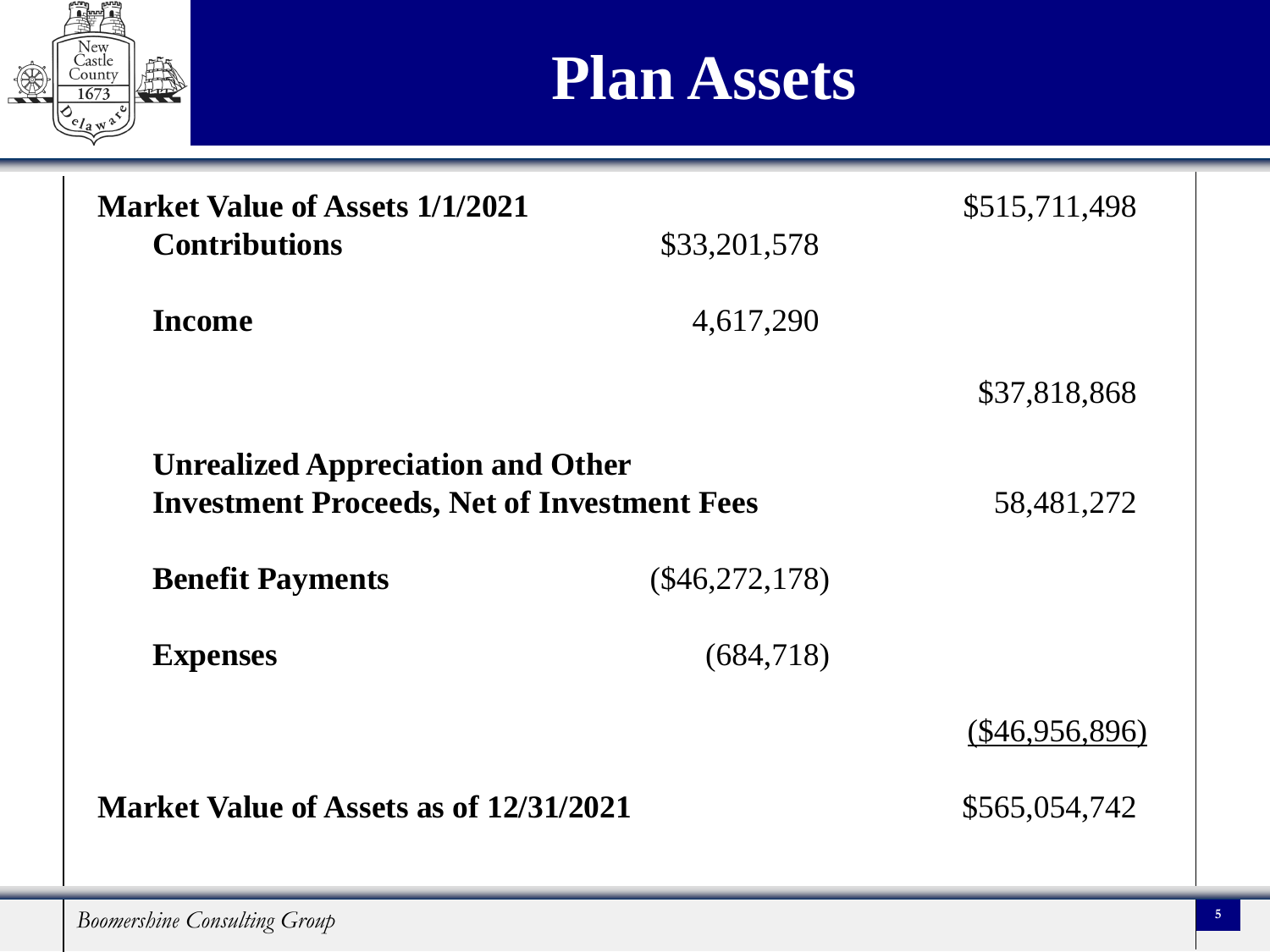

#### **Plan Assets**

| <b>Market Value of Assets 1/1/2021</b>                                                         |                  | \$515,711,498    |
|------------------------------------------------------------------------------------------------|------------------|------------------|
| <b>Contributions</b>                                                                           | \$33,201,578     |                  |
| <b>Income</b>                                                                                  | 4,617,290        |                  |
|                                                                                                |                  | \$37,818,868     |
| <b>Unrealized Appreciation and Other</b><br><b>Investment Proceeds, Net of Investment Fees</b> |                  | 58,481,272       |
| <b>Benefit Payments</b>                                                                        | $(\$46,272,178)$ |                  |
| <b>Expenses</b>                                                                                | (684,718)        |                  |
|                                                                                                |                  | $(\$46,956,896)$ |
| Market Value of Assets as of 12/31/2021                                                        |                  | \$565,054,742    |

**Boomershine Consulting Group 5**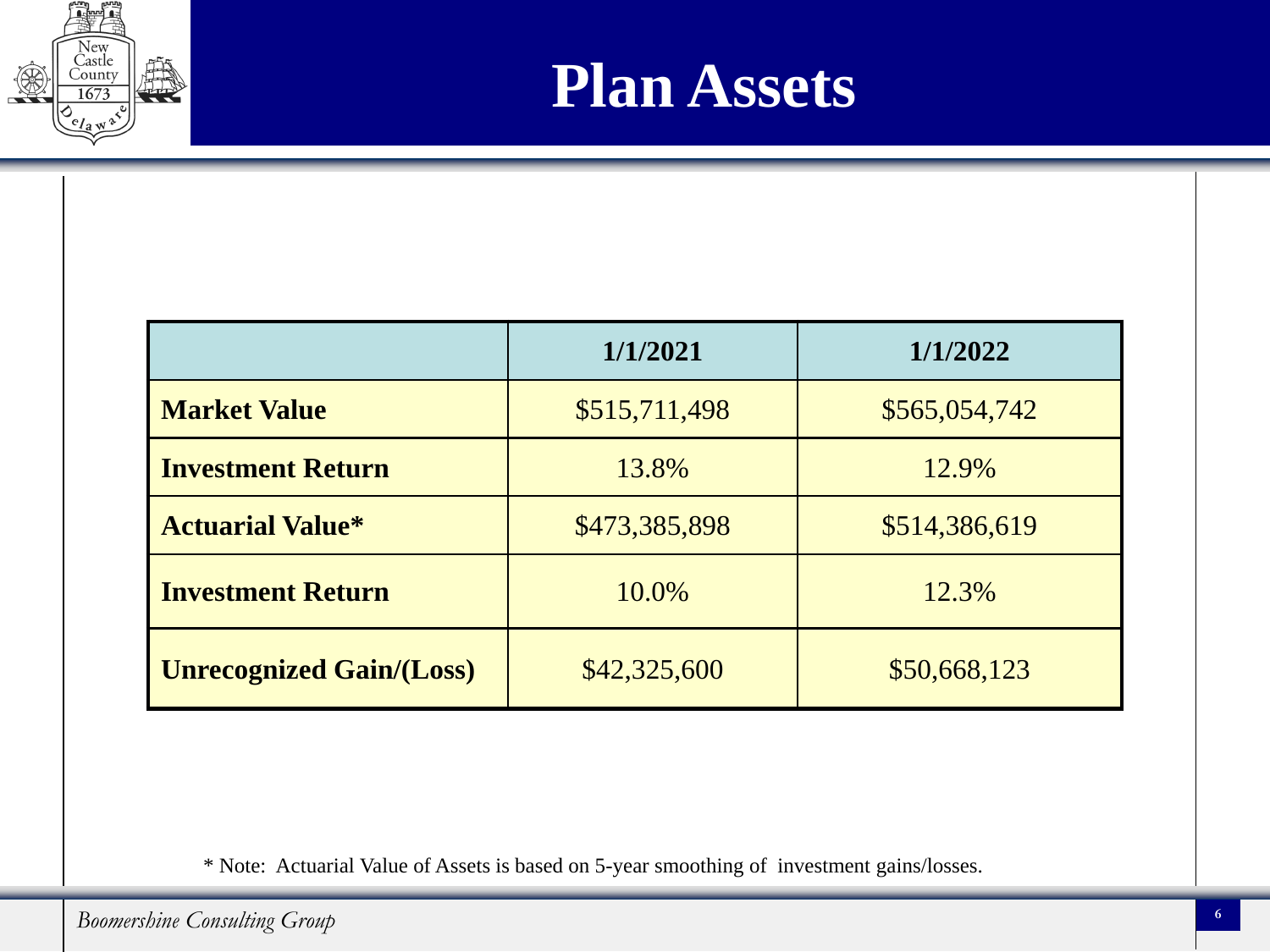



|                                 | 1/1/2021      | 1/1/2022      |
|---------------------------------|---------------|---------------|
| <b>Market Value</b>             | \$515,711,498 | \$565,054,742 |
| <b>Investment Return</b>        | 13.8%         | 12.9%         |
| <b>Actuarial Value*</b>         | \$473,385,898 | \$514,386,619 |
| <b>Investment Return</b>        | 10.0%         | 12.3%         |
| <b>Unrecognized Gain/(Loss)</b> | \$42,325,600  | \$50,668,123  |

\* Note: Actuarial Value of Assets is based on 5-year smoothing of investment gains/losses.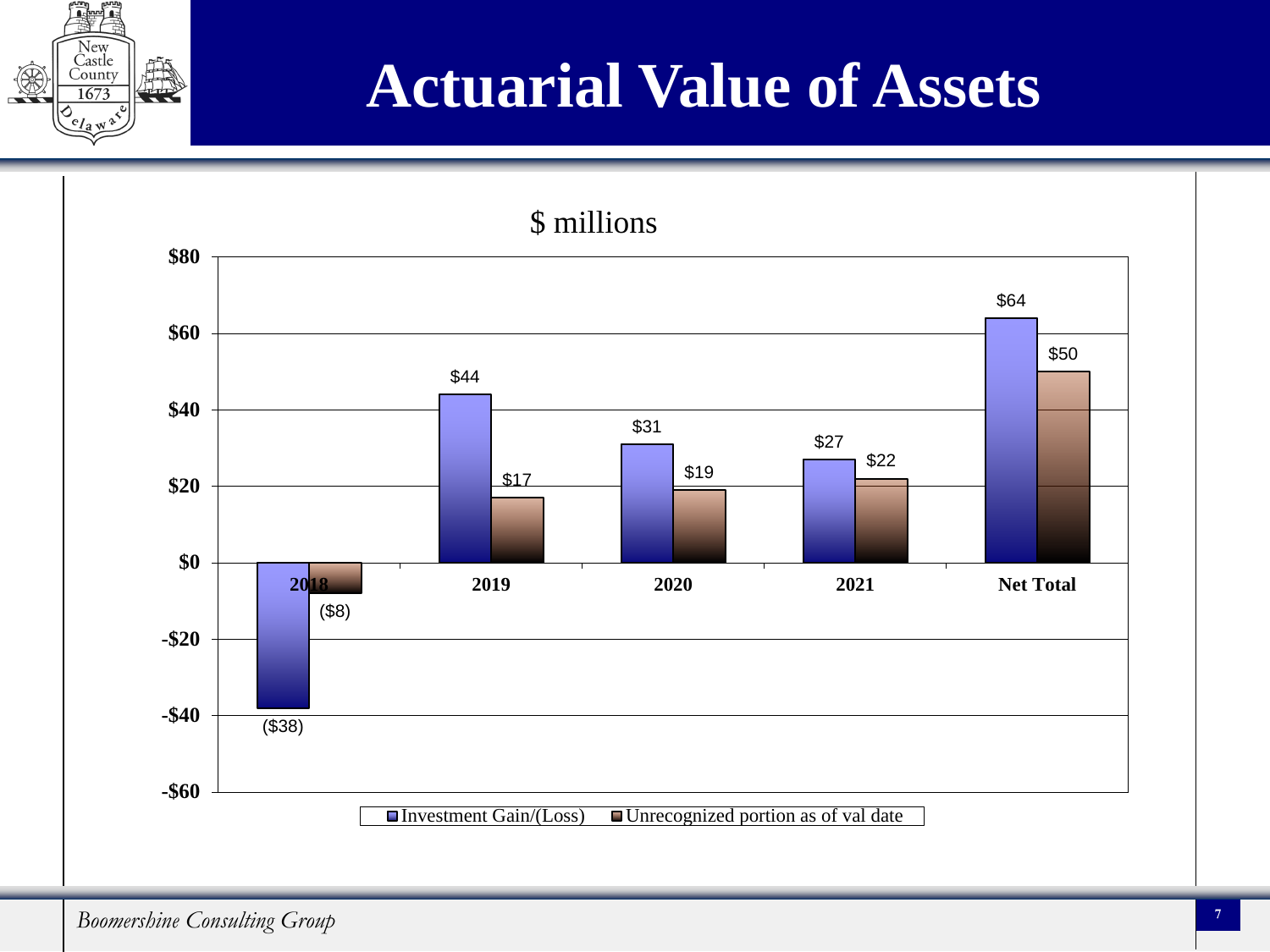

#### **Actuarial Value of Assets**

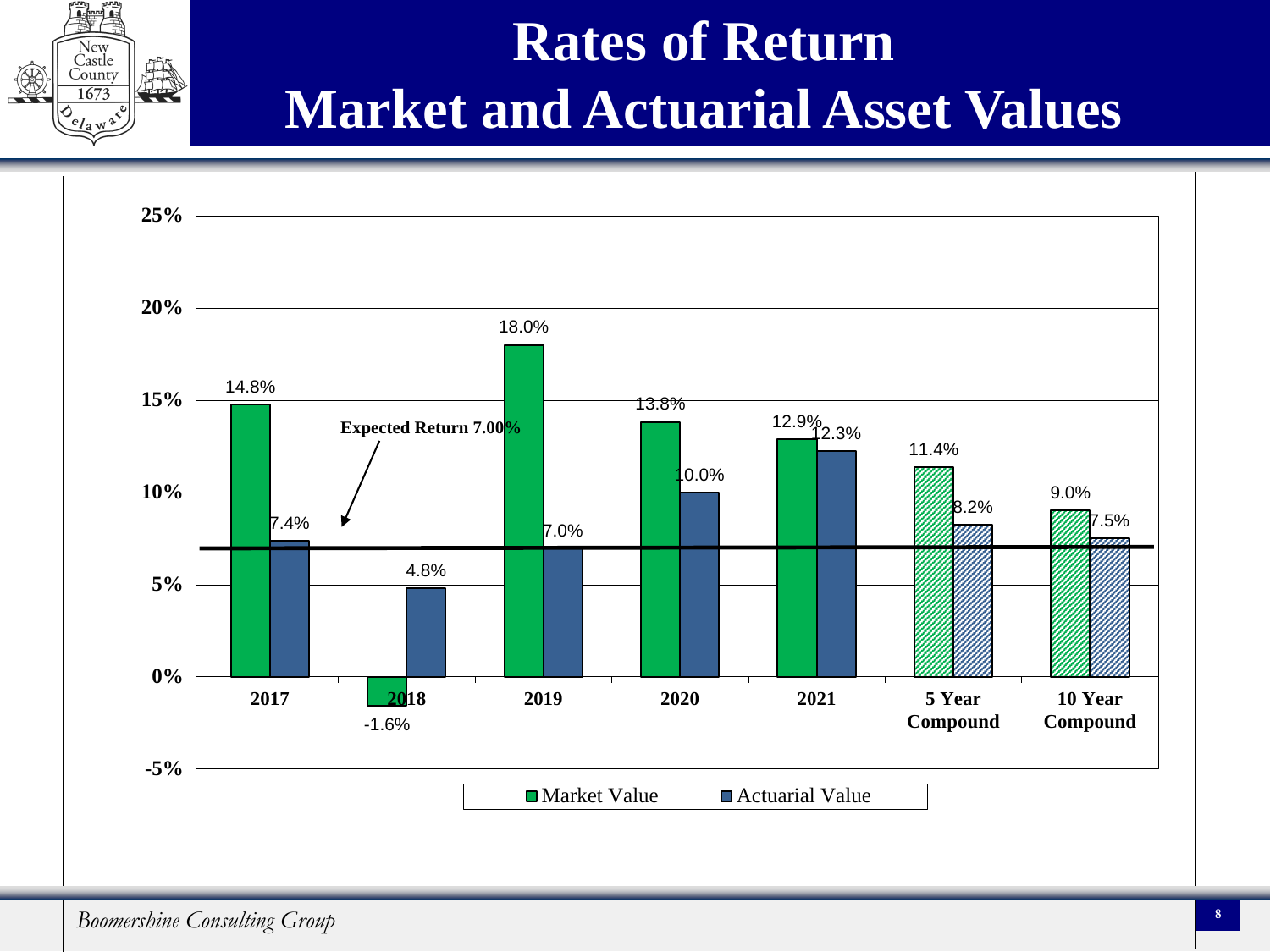#### **Rates of Return Market and Actuarial Asset Values**



Castle Count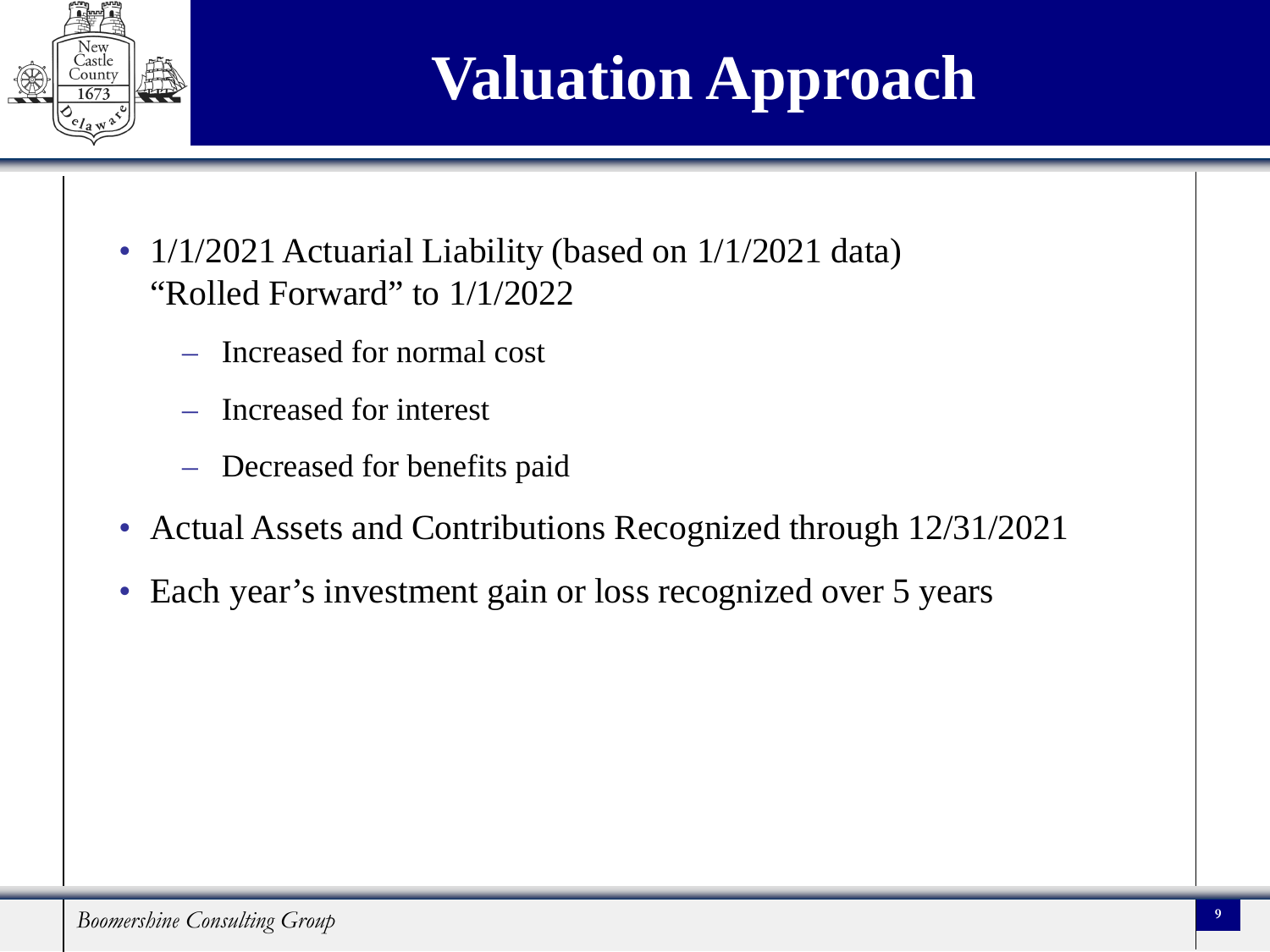

### **Valuation Approach**

- 1/1/2021 Actuarial Liability (based on 1/1/2021 data) "Rolled Forward" to 1/1/2022
	- Increased for normal cost
	- Increased for interest
	- Decreased for benefits paid
- Actual Assets and Contributions Recognized through 12/31/2021
- Each year's investment gain or loss recognized over 5 years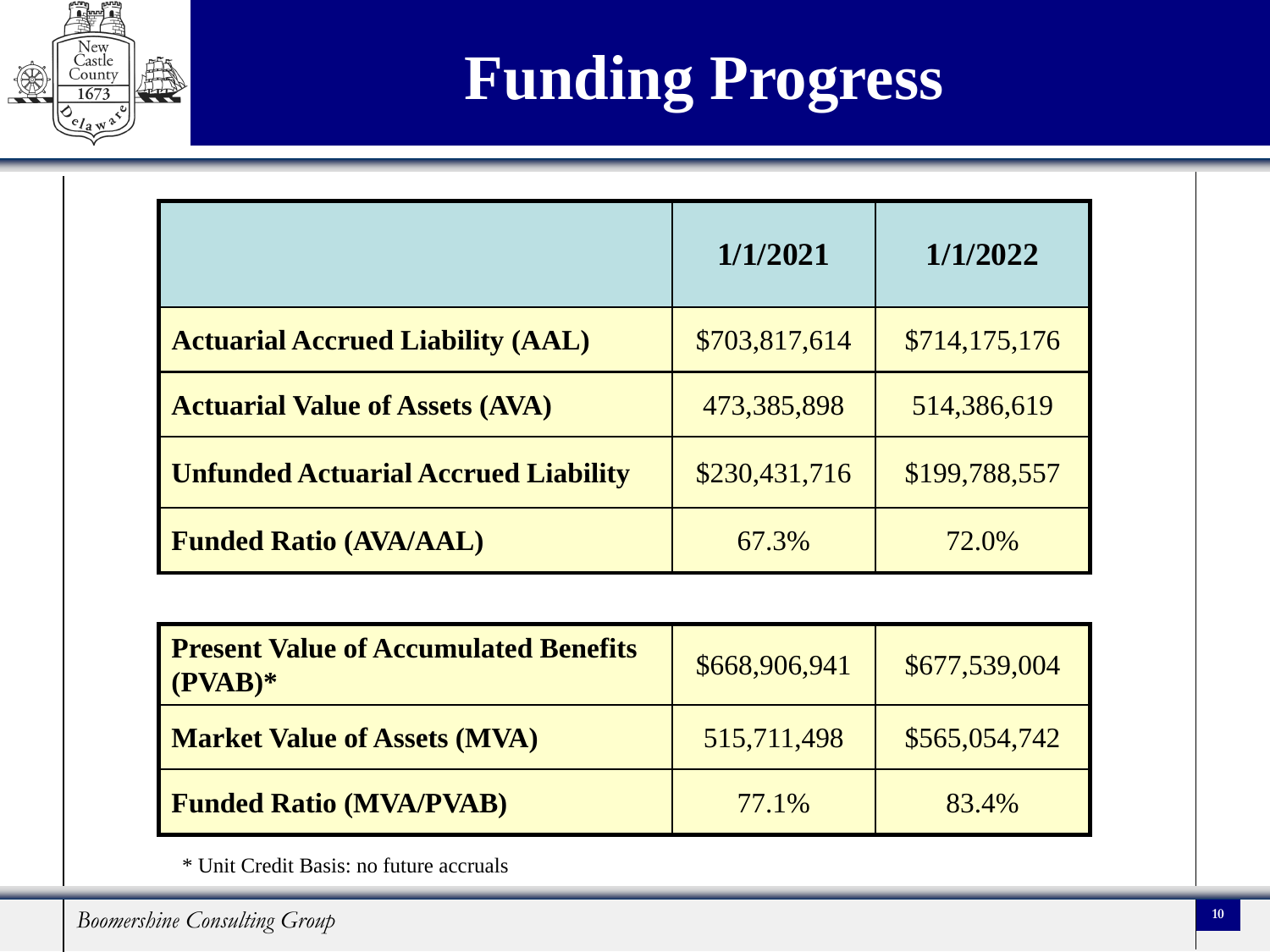

|                                             | 1/1/2021      | 1/1/2022      |
|---------------------------------------------|---------------|---------------|
| <b>Actuarial Accrued Liability (AAL)</b>    | \$703,817,614 | \$714,175,176 |
| <b>Actuarial Value of Assets (AVA)</b>      | 473,385,898   | 514,386,619   |
| <b>Unfunded Actuarial Accrued Liability</b> | \$230,431,716 | \$199,788,557 |
| <b>Funded Ratio (AVA/AAL)</b>               | 67.3%         | 72.0%         |

| <b>Present Value of Accumulated Benefits</b><br>$(PVAB)^*$ | \$668,906,941 | \$677,539,004 |
|------------------------------------------------------------|---------------|---------------|
| <b>Market Value of Assets (MVA)</b>                        | 515,711,498   | \$565,054,742 |
| <b>Funded Ratio (MVA/PVAB)</b>                             | 77.1%         | 83.4%         |

\* Unit Credit Basis: no future accruals

New Častle<br>County 167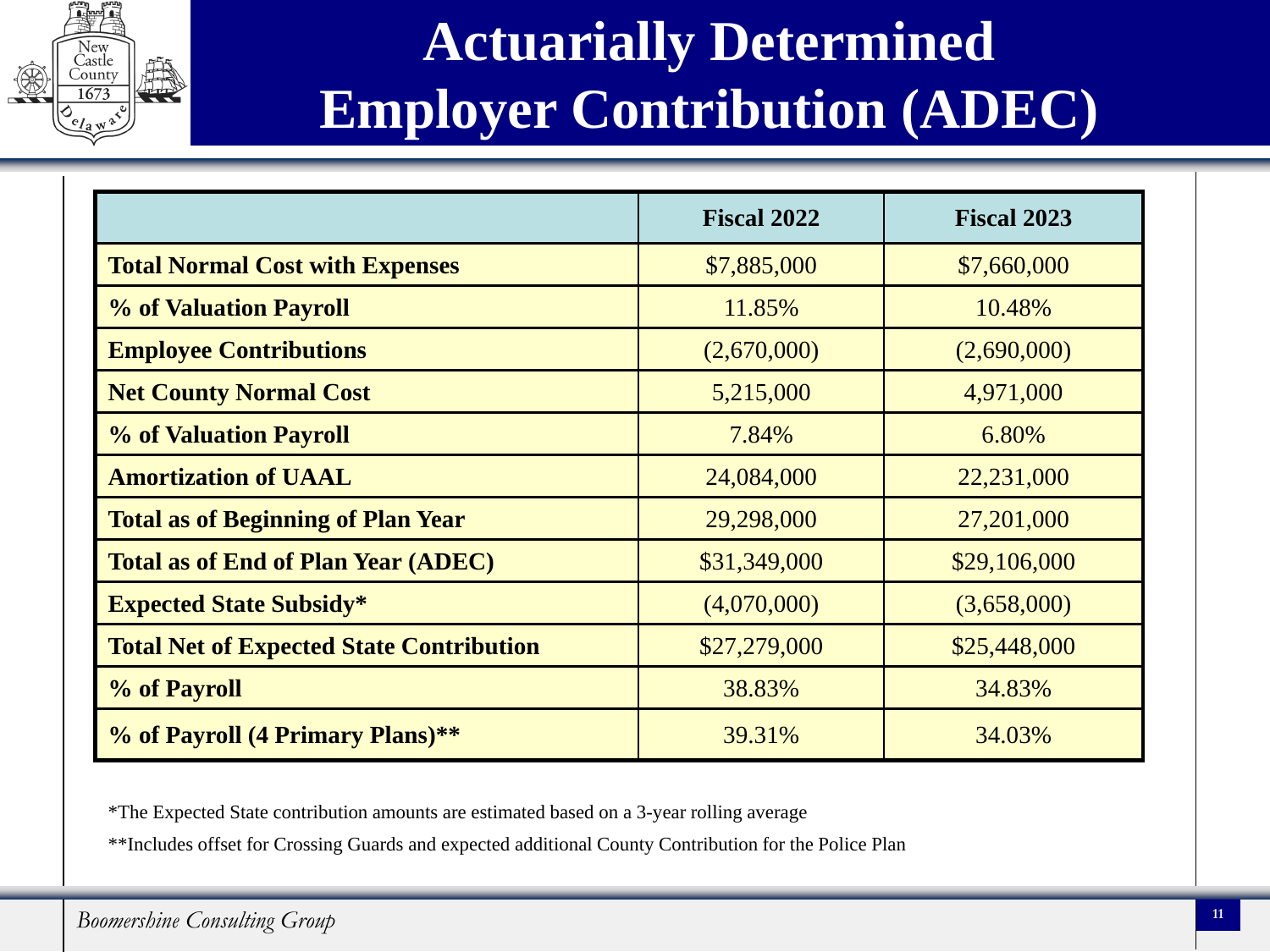

#### **Actuarially Determined Employer Contribution (ADEC)**

|                                                 | <b>Fiscal 2022</b> | <b>Fiscal 2023</b> |
|-------------------------------------------------|--------------------|--------------------|
| <b>Total Normal Cost with Expenses</b>          | \$7,885,000        | \$7,660,000        |
| <b>% of Valuation Payroll</b>                   | 11.85%             | 10.48%             |
| <b>Employee Contributions</b>                   | (2,670,000)        | (2,690,000)        |
| <b>Net County Normal Cost</b>                   | 5,215,000          | 4,971,000          |
| <b>% of Valuation Payroll</b>                   | 7.84%              | 6.80%              |
| <b>Amortization of UAAL</b>                     | 24,084,000         | 22,231,000         |
| <b>Total as of Beginning of Plan Year</b>       | 29,298,000         | 27,201,000         |
| <b>Total as of End of Plan Year (ADEC)</b>      | \$31,349,000       | \$29,106,000       |
| <b>Expected State Subsidy*</b>                  | (4,070,000)        | (3,658,000)        |
| <b>Total Net of Expected State Contribution</b> | \$27,279,000       | \$25,448,000       |
| % of Payroll                                    | 38.83%             | 34.83%             |
| % of Payroll (4 Primary Plans)**                | 39.31%             | 34.03%             |

\*The Expected State contribution amounts are estimated based on a 3-year rolling average

\*\*Includes offset for Crossing Guards and expected additional County Contribution for the Police Plan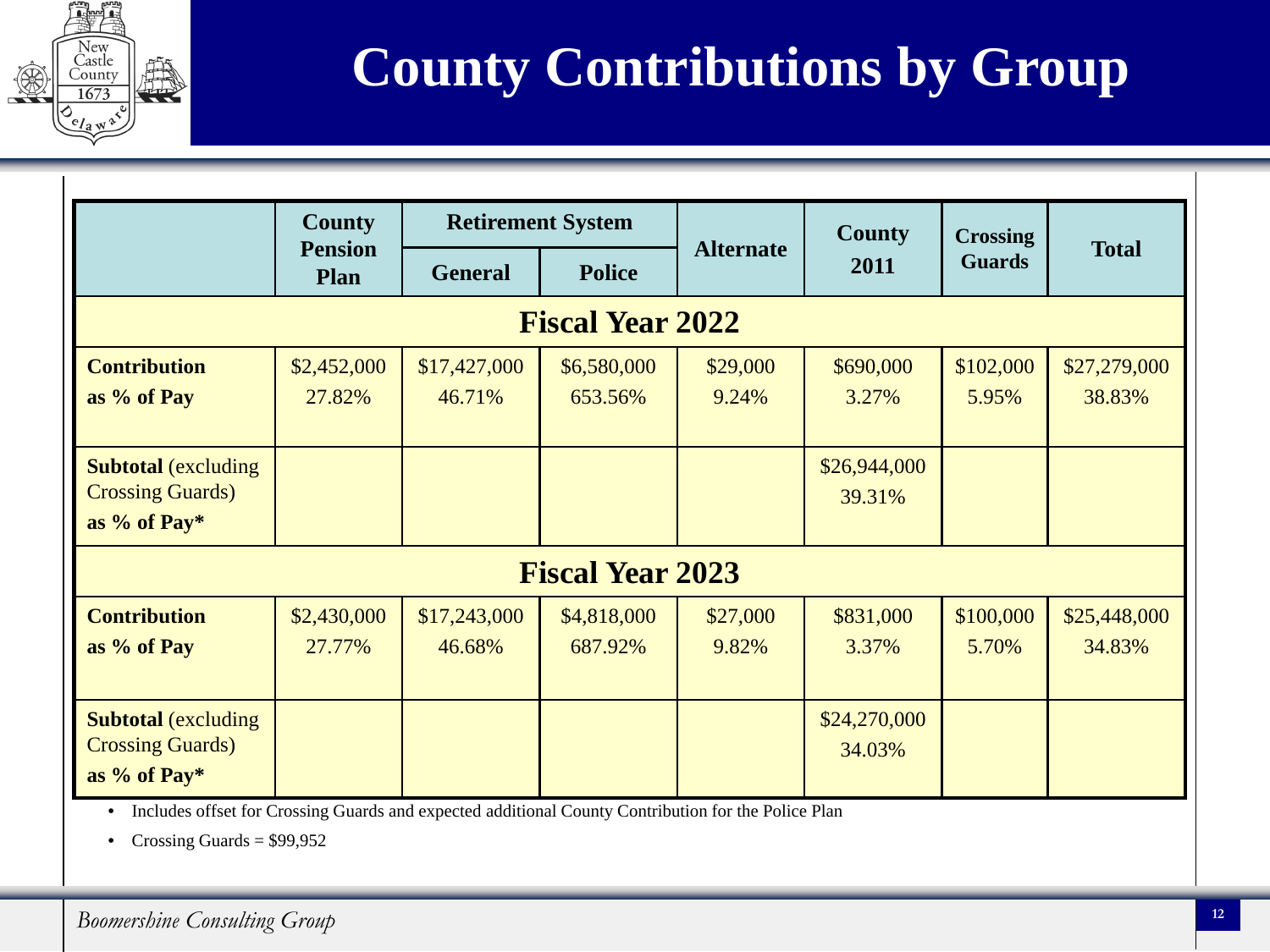

#### **County Contributions by Group**

|                             | <b>County</b>                 |                | <b>Retirement System</b> | <b>Alternate</b> | County       | <b>Crossing</b><br><b>Guards</b> | <b>Total</b> |
|-----------------------------|-------------------------------|----------------|--------------------------|------------------|--------------|----------------------------------|--------------|
|                             | <b>Pension</b><br><b>Plan</b> | <b>General</b> | <b>Police</b>            |                  | 2011         |                                  |              |
|                             |                               |                | <b>Fiscal Year 2022</b>  |                  |              |                                  |              |
| <b>Contribution</b>         | \$2,452,000                   | \$17,427,000   | \$6,580,000              | \$29,000         | \$690,000    | \$102,000                        | \$27,279,000 |
| as % of Pay                 | 27.82%                        | 46.71%         | 653.56%                  | 9.24%            | 3.27%        | 5.95%                            | 38.83%       |
|                             |                               |                |                          |                  |              |                                  |              |
| <b>Subtotal</b> (excluding  |                               |                |                          |                  | \$26,944,000 |                                  |              |
| <b>Crossing Guards</b> )    |                               |                |                          |                  | 39.31%       |                                  |              |
| as % of Pay*                |                               |                |                          |                  |              |                                  |              |
|                             |                               |                | <b>Fiscal Year 2023</b>  |                  |              |                                  |              |
| <b>Contribution</b>         | \$2,430,000                   | \$17,243,000   | \$4,818,000              | \$27,000         | \$831,000    | \$100,000                        | \$25,448,000 |
| as % of Pay                 | 27.77%                        | 46.68%         | 687.92%                  | 9.82%            | 3.37%        | 5.70%                            | 34.83%       |
|                             |                               |                |                          |                  |              |                                  |              |
| <b>Subtotal (excluding)</b> |                               |                |                          |                  | \$24,270,000 |                                  |              |
| <b>Crossing Guards</b> )    |                               |                |                          |                  | 34.03%       |                                  |              |
| as % of Pay*                |                               |                |                          |                  |              |                                  |              |

• Includes offset for Crossing Guards and expected additional County Contribution for the Police Plan

• Crossing Guards =  $$99,952$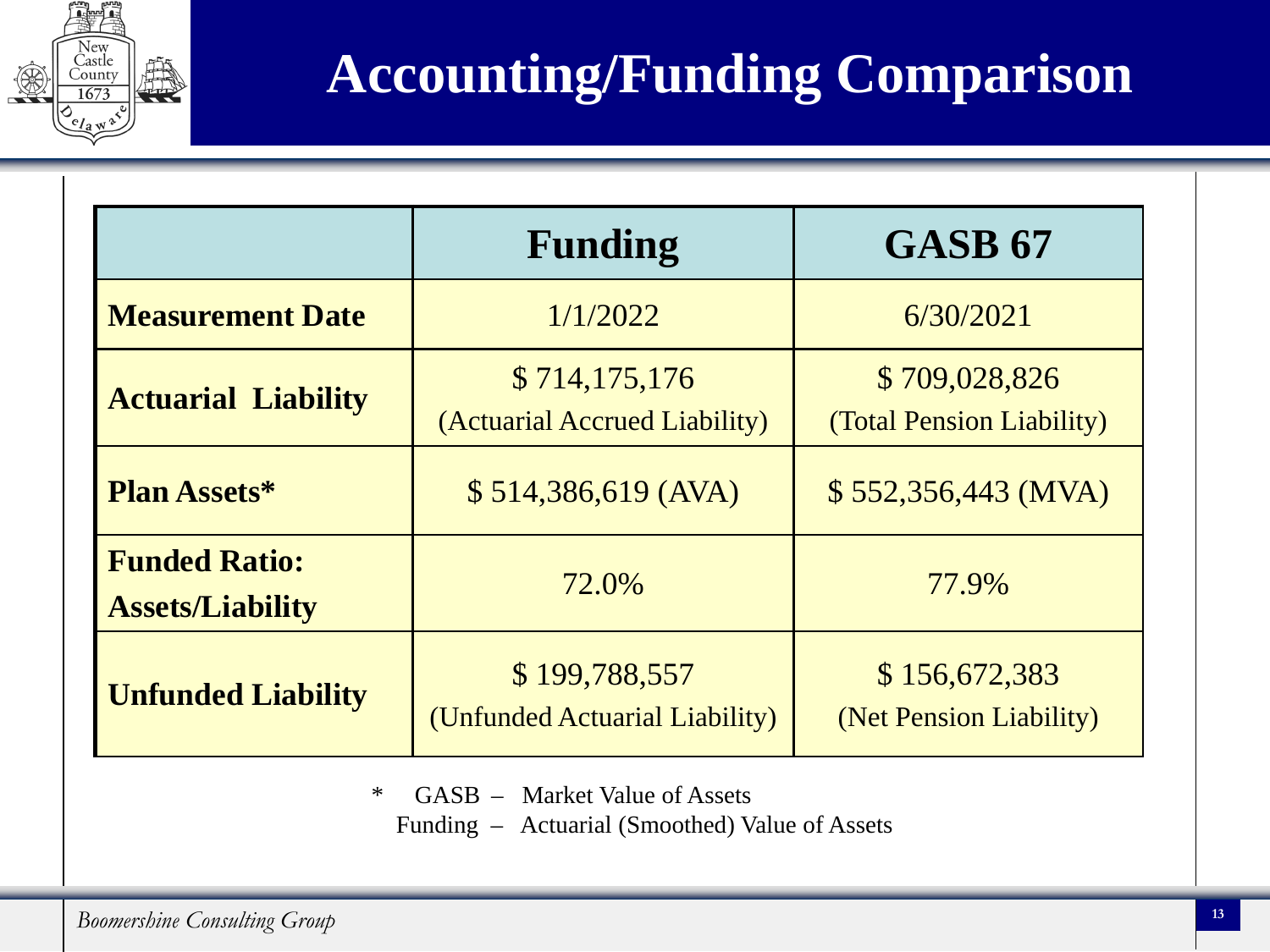

#### **Accounting/Funding Comparison**

|                                                 | <b>Funding</b>                                  | <b>GASB 67</b>                             |
|-------------------------------------------------|-------------------------------------------------|--------------------------------------------|
| <b>Measurement Date</b>                         | 1/1/2022                                        | 6/30/2021                                  |
| <b>Actuarial Liability</b>                      | \$714,175,176<br>(Actuarial Accrued Liability)  | \$709,028,826<br>(Total Pension Liability) |
| <b>Plan Assets*</b>                             | \$514,386,619 (AVA)                             | $$552,356,443$ (MVA)                       |
| <b>Funded Ratio:</b><br><b>Assets/Liability</b> | 72.0%                                           | 77.9%                                      |
| <b>Unfunded Liability</b>                       | \$199,788,557<br>(Unfunded Actuarial Liability) | \$156,672,383<br>(Net Pension Liability)   |

\* GASB .– Market Value of Assets

Funding – Actuarial (Smoothed) Value of Assets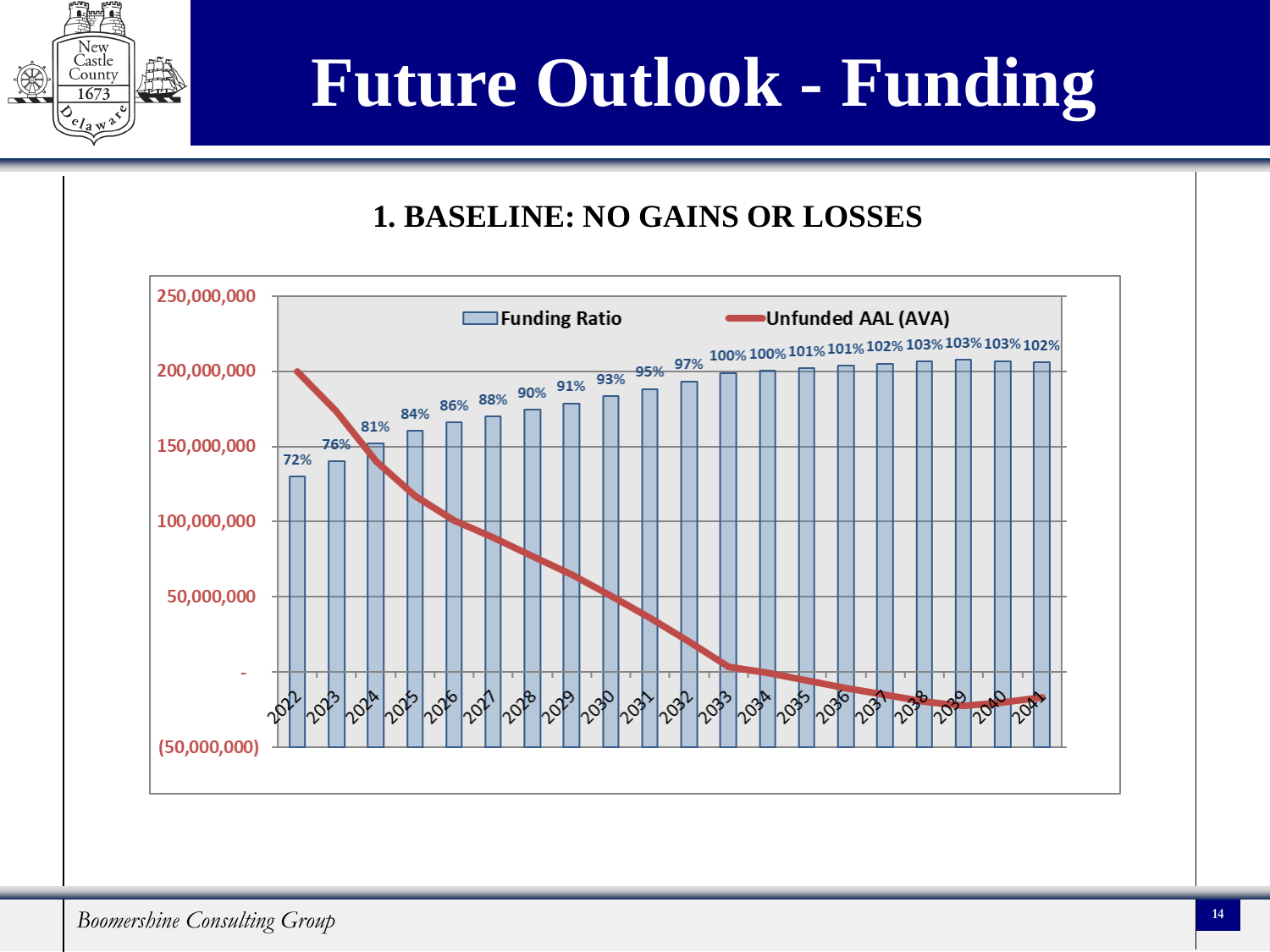

## **Future Outlook - Funding**

#### **1. BASELINE: NO GAINS OR LOSSES**

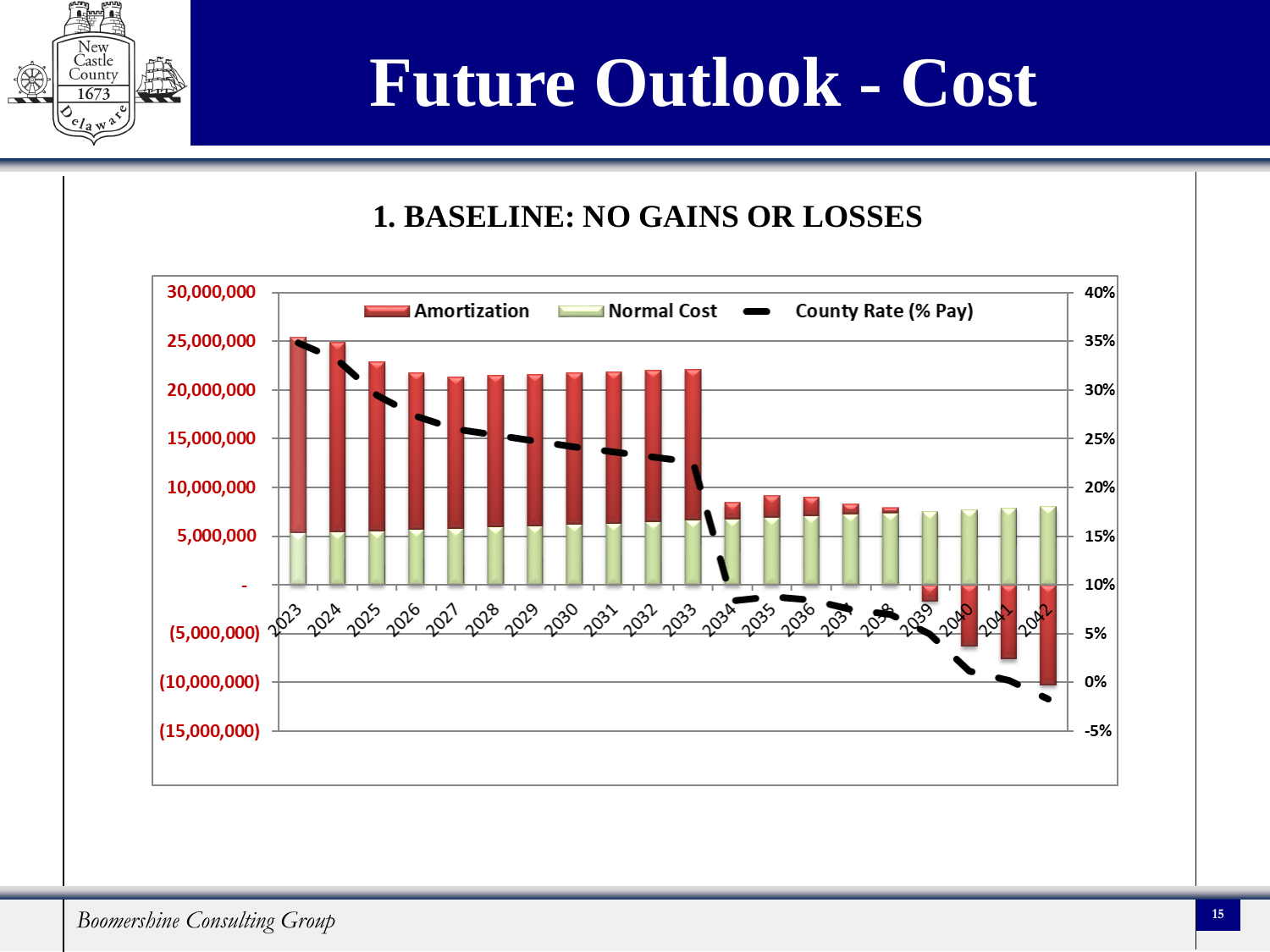

## **Future Outlook - Cost**

#### **1. BASELINE: NO GAINS OR LOSSES**

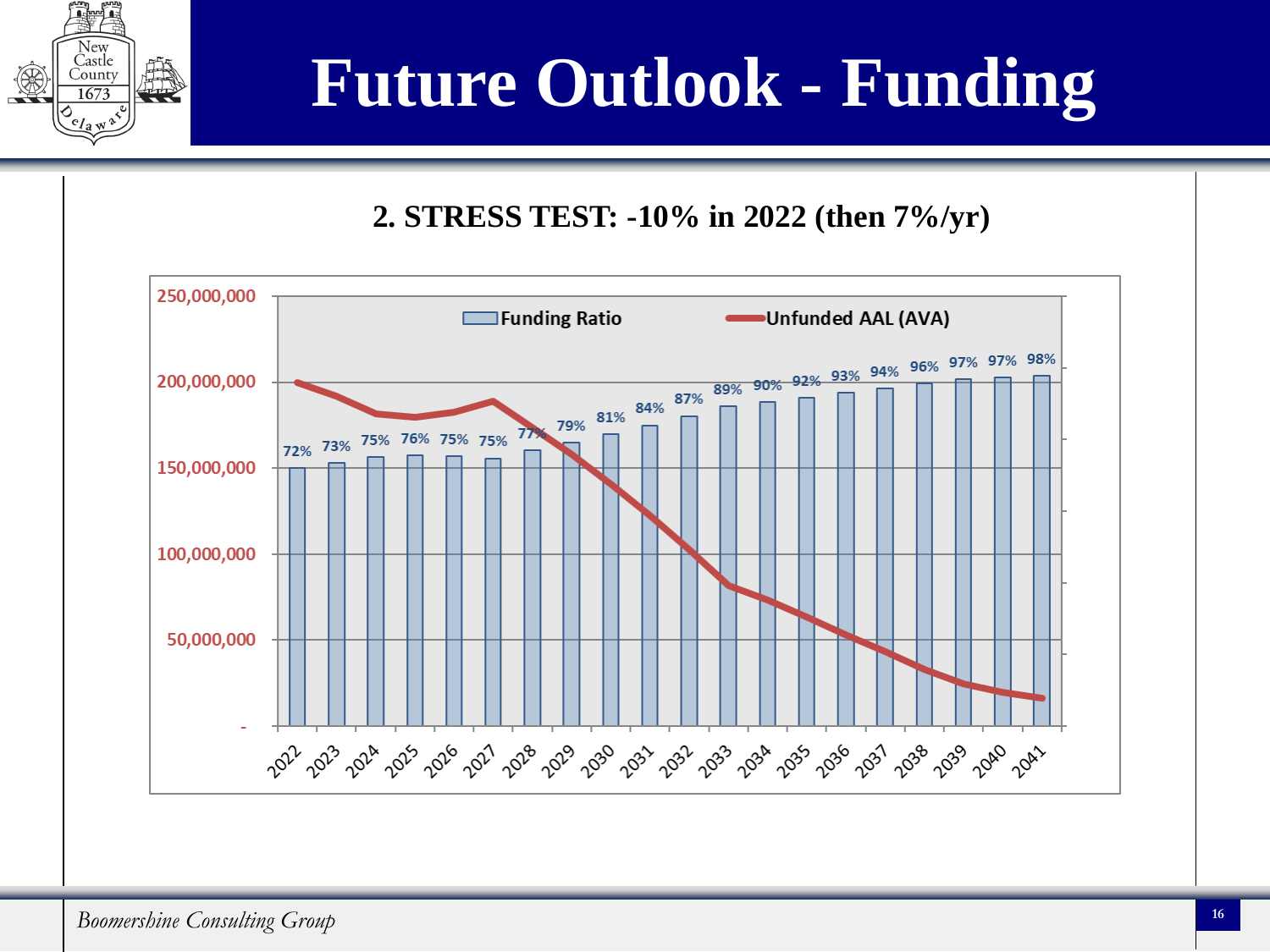

## **Future Outlook - Funding**

#### **2. STRESS TEST: -10% in 2022 (then 7%/yr)**

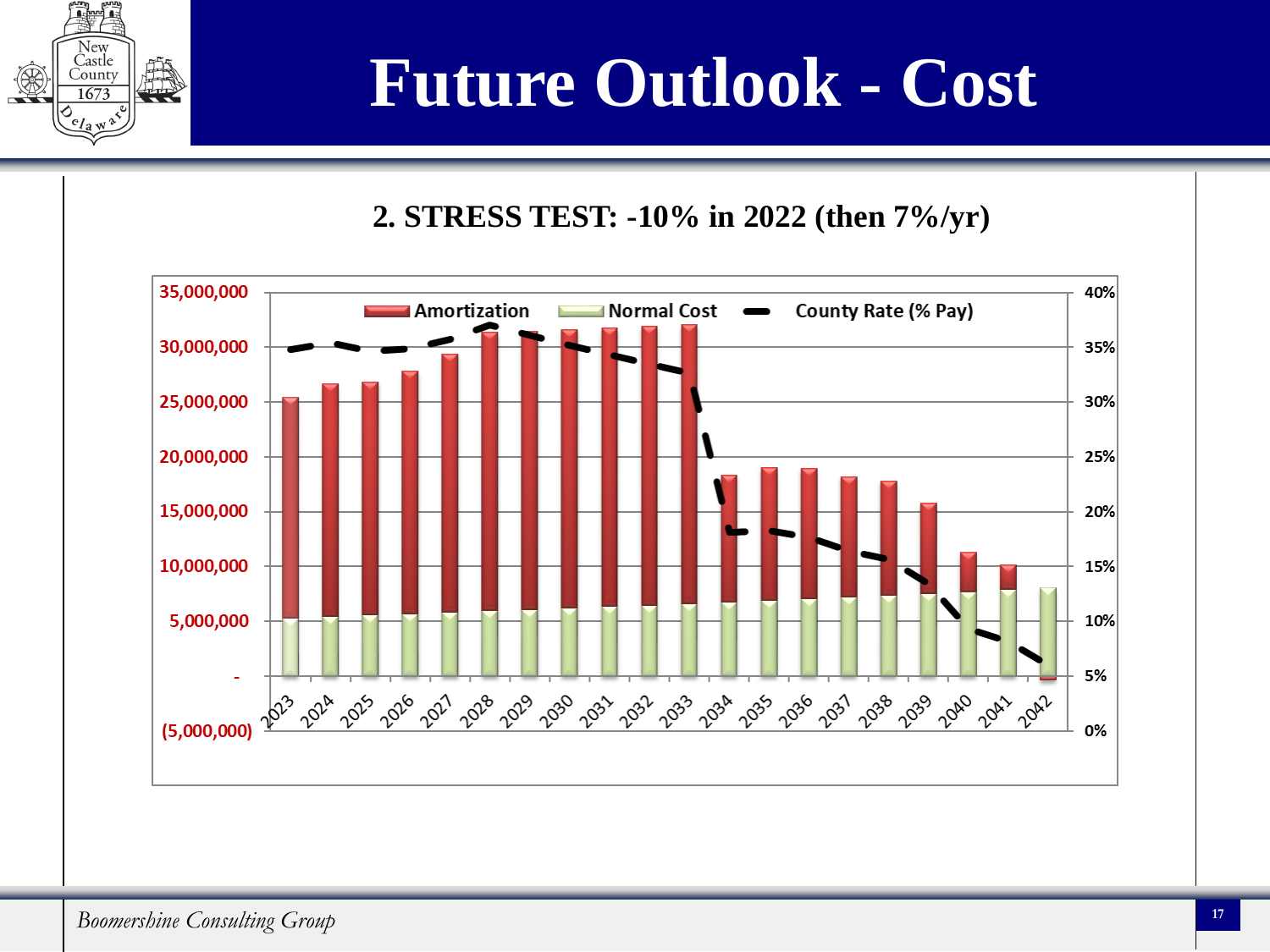

## **Future Outlook - Cost**

#### **2. STRESS TEST: -10% in 2022 (then 7%/yr)**

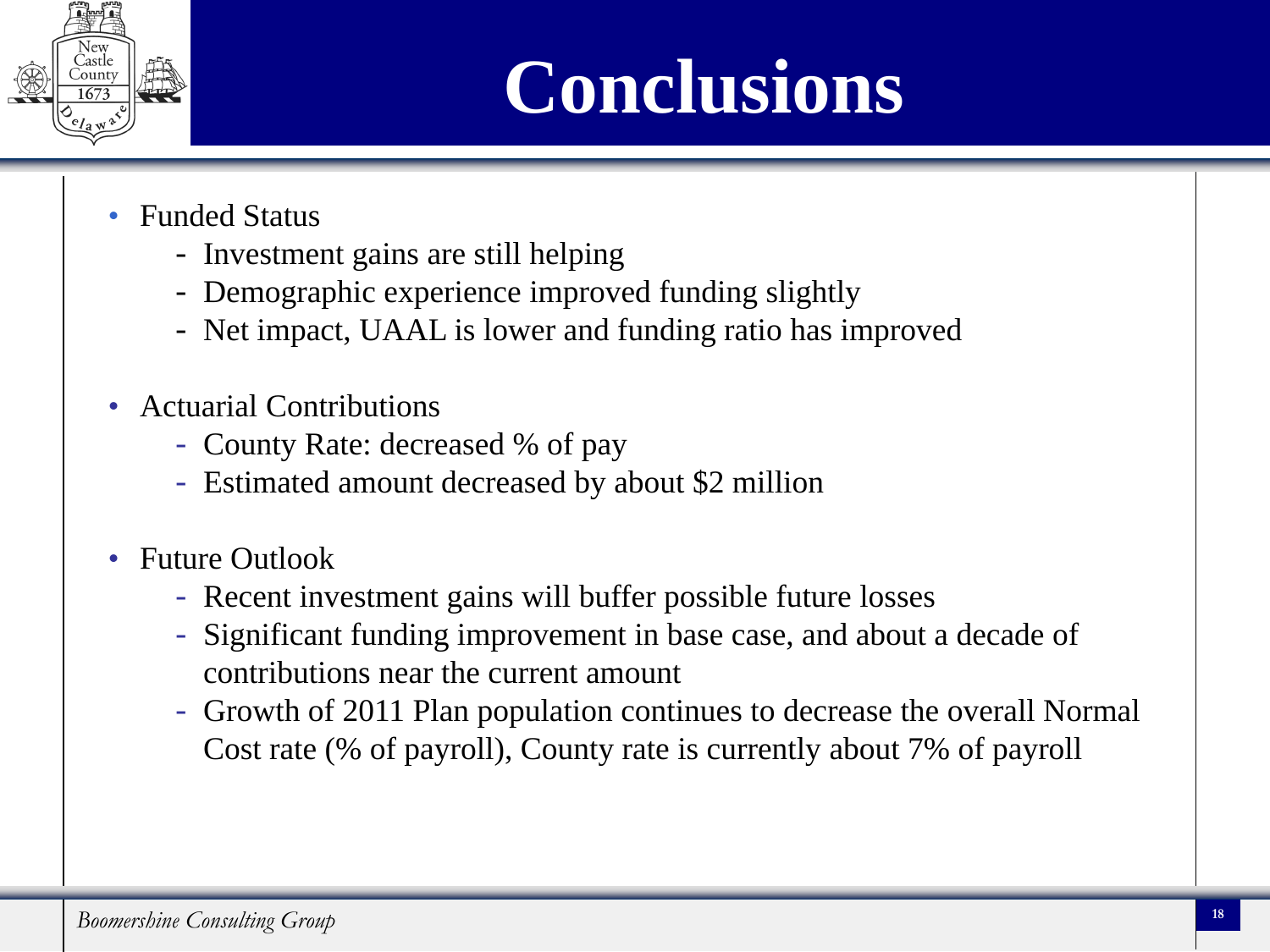

## **Conclusions**

- Funded Status
	- Investment gains are still helping
	- Demographic experience improved funding slightly
	- Net impact, UAAL is lower and funding ratio has improved
- Actuarial Contributions
	- County Rate: decreased % of pay
	- Estimated amount decreased by about \$2 million
- Future Outlook
	- Recent investment gains will buffer possible future losses
	- Significant funding improvement in base case, and about a decade of contributions near the current amount
	- Growth of 2011 Plan population continues to decrease the overall Normal Cost rate (% of payroll), County rate is currently about 7% of payroll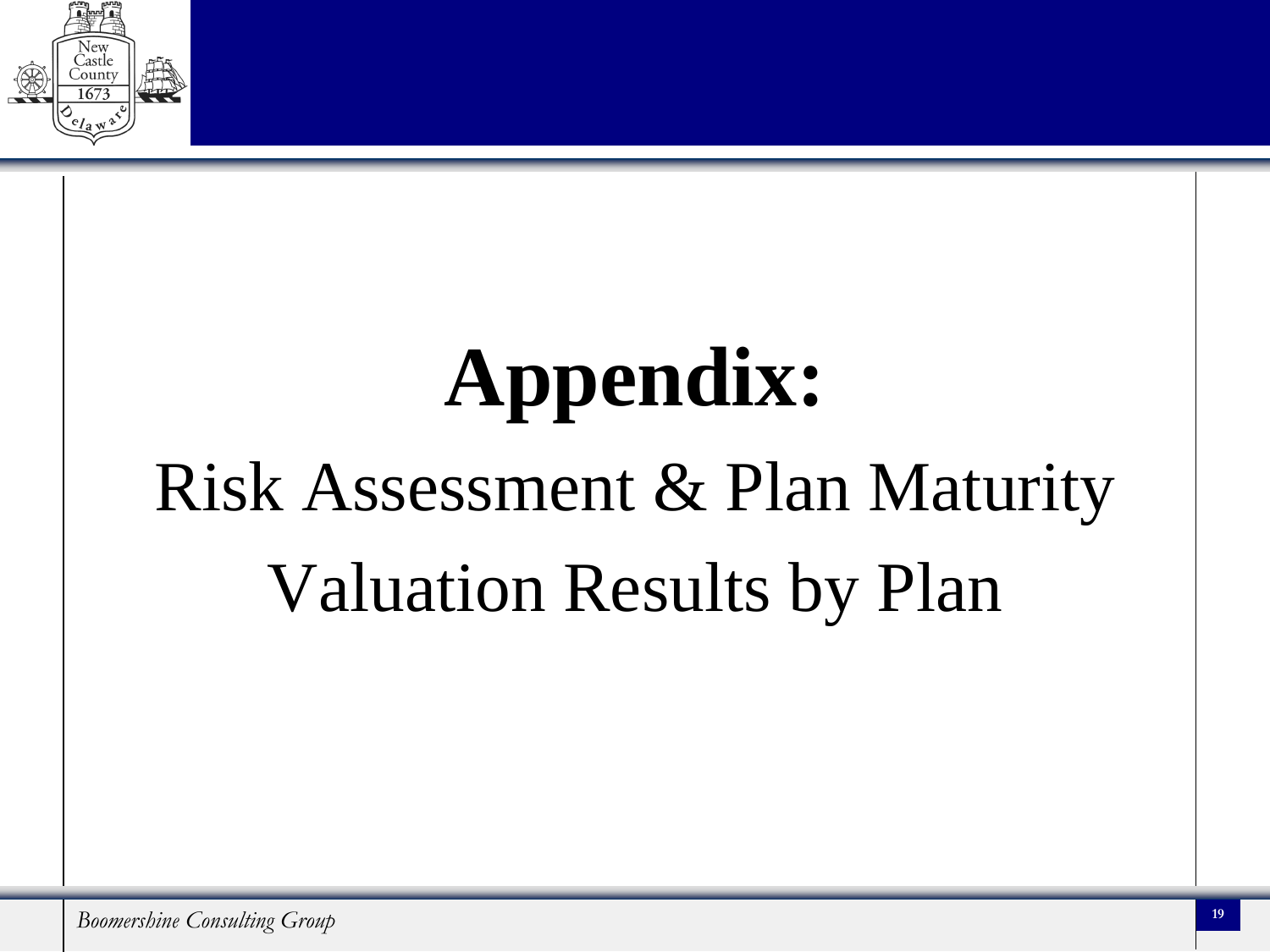

# **Appendix:** Risk Assessment & Plan Maturity Valuation Results by Plan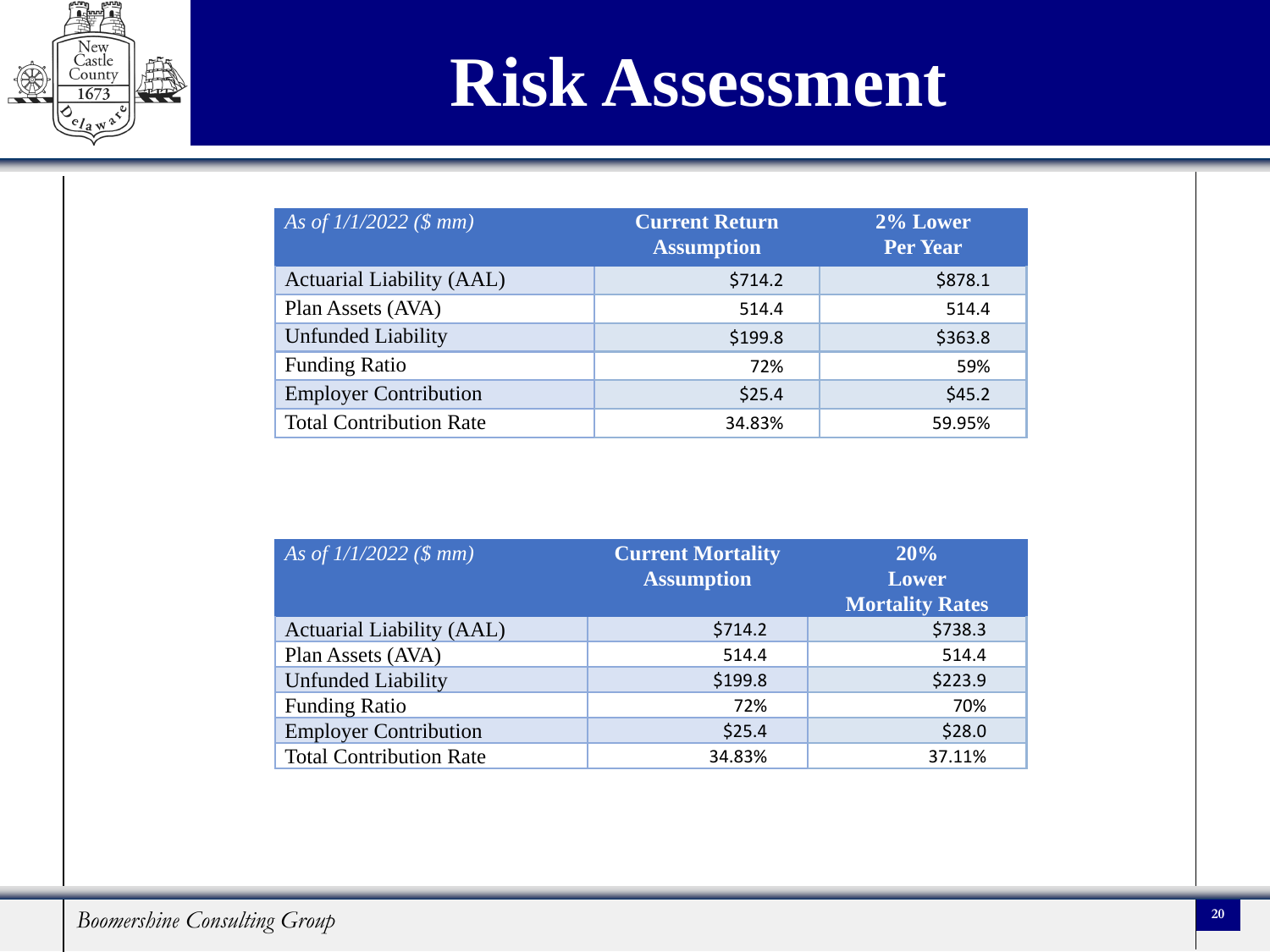

### **Risk Assessment**

| As of $1/1/2022$ (\$ mm)       | Current Return<br><b>Assumption</b> | 2% Lower<br><b>Per Year</b> |
|--------------------------------|-------------------------------------|-----------------------------|
| Actuarial Liability (AAL)      | \$714.2                             | \$878.1                     |
| Plan Assets (AVA)              | 514.4                               | 514.4                       |
| <b>Unfunded Liability</b>      | \$199.8                             | \$363.8                     |
| <b>Funding Ratio</b>           | 72%                                 | 59%                         |
| <b>Employer Contribution</b>   | \$25.4                              | \$45.2                      |
| <b>Total Contribution Rate</b> | 34.83%                              | 59.95%                      |

| As of $1/1/2022$ (\$ mm)       | <b>Current Mortality</b><br><b>Assumption</b> | 20%<br><b>Lower</b><br><b>Mortality Rates</b> |
|--------------------------------|-----------------------------------------------|-----------------------------------------------|
| Actuarial Liability (AAL)      | \$714.2                                       | \$738.3                                       |
| Plan Assets (AVA)              | 514.4                                         | 514.4                                         |
| <b>Unfunded Liability</b>      | \$199.8                                       | \$223.9                                       |
| <b>Funding Ratio</b>           | 72%                                           | 70%                                           |
| <b>Employer Contribution</b>   | \$25.4                                        | \$28.0                                        |
| <b>Total Contribution Rate</b> | 34.83%                                        | 37.11%                                        |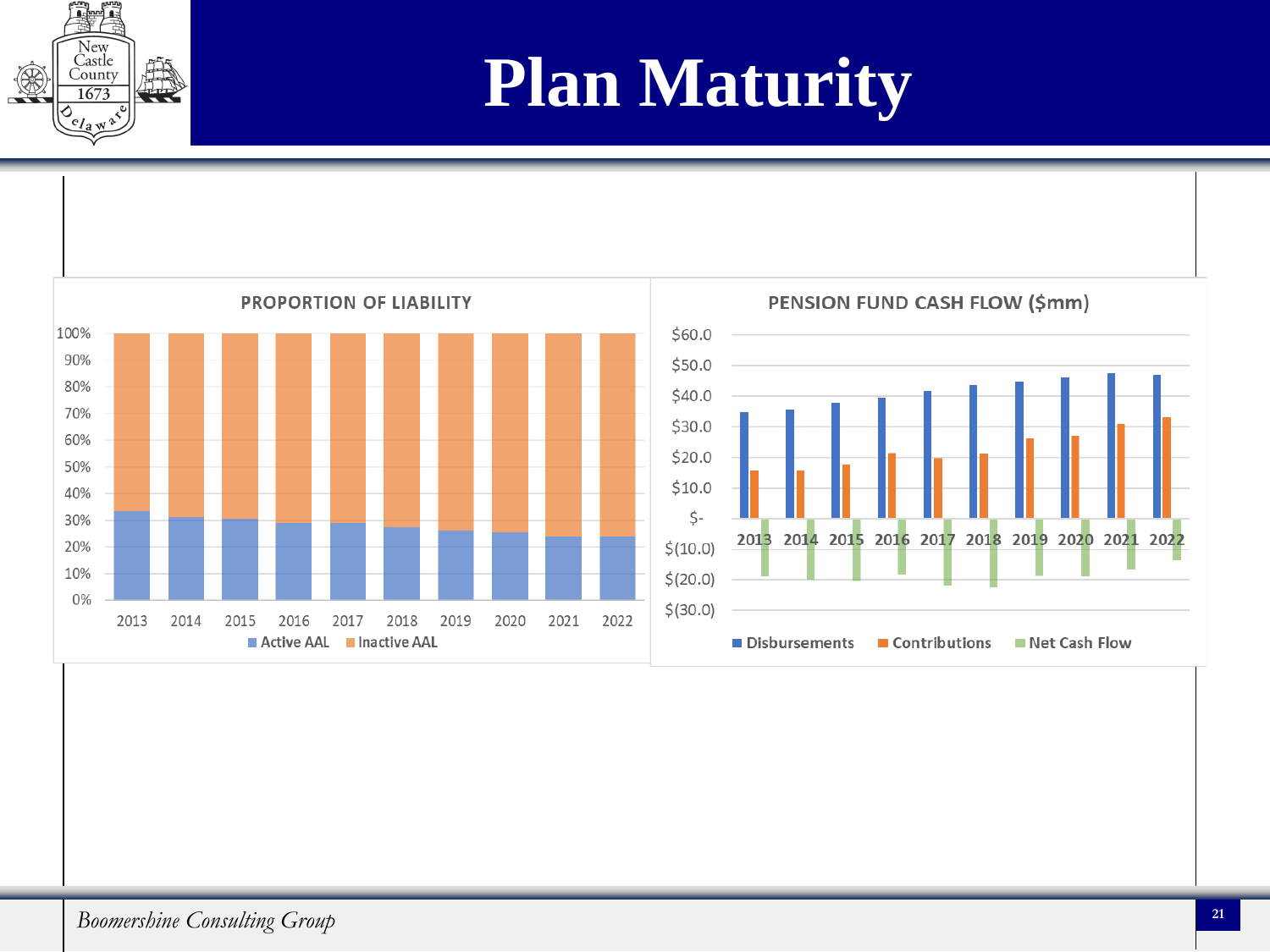## **Plan Maturity**



New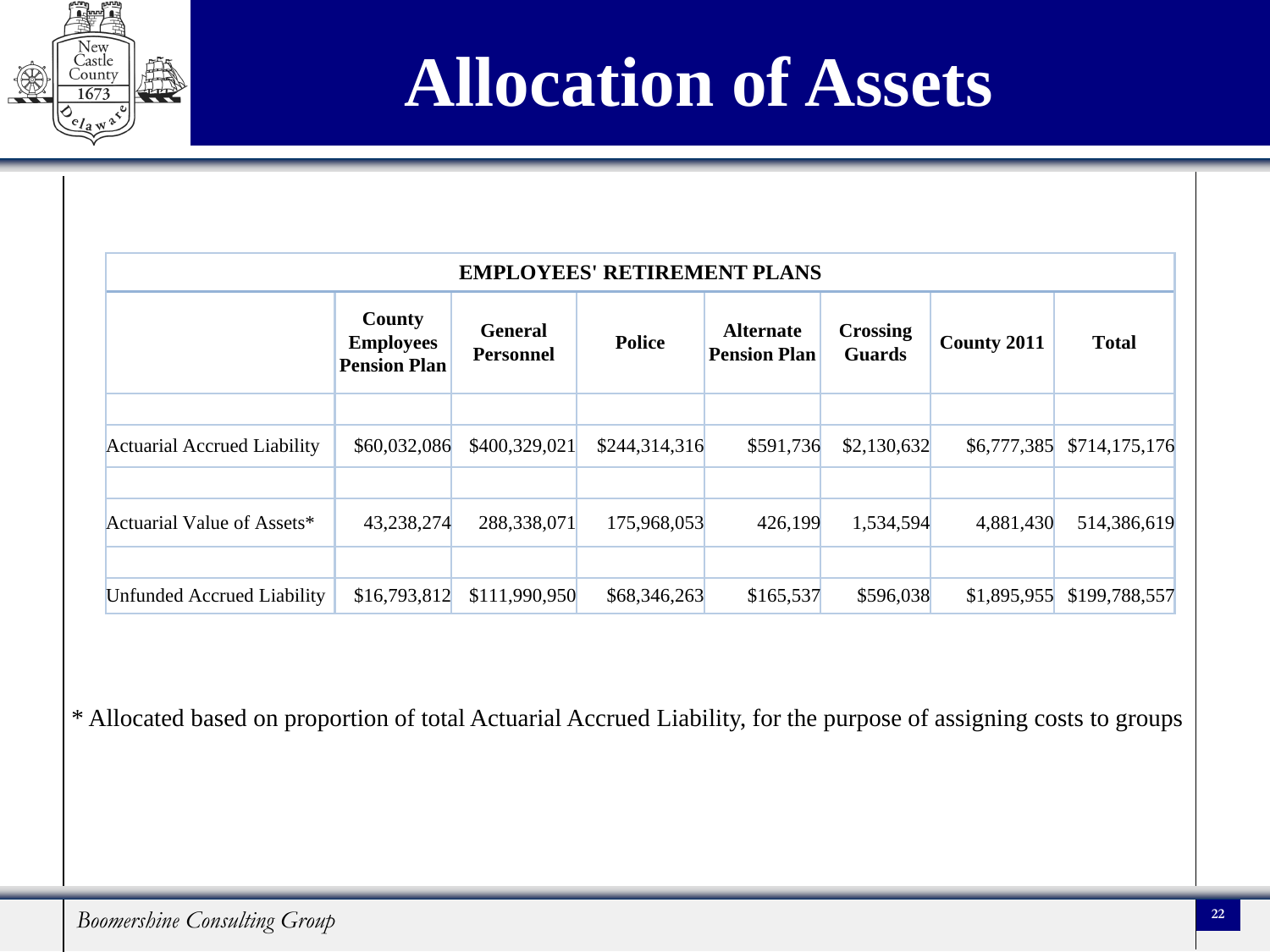

## **Allocation of Assets**

| <b>EMPLOYEES' RETIREMENT PLANS</b> |                                                   |                                    |               |                                         |                                  |             |               |
|------------------------------------|---------------------------------------------------|------------------------------------|---------------|-----------------------------------------|----------------------------------|-------------|---------------|
|                                    | County<br><b>Employees</b><br><b>Pension Plan</b> | <b>General</b><br><b>Personnel</b> | <b>Police</b> | <b>Alternate</b><br><b>Pension Plan</b> | <b>Crossing</b><br><b>Guards</b> | County 2011 | <b>Total</b>  |
| Actuarial Accrued Liability        | \$60,032,086                                      | \$400,329,021                      | \$244,314,316 | \$591,736                               | \$2,130,632                      | \$6,777,385 | \$714,175,176 |
| Actuarial Value of Assets*         | 43,238,274                                        | 288,338,071                        | 175,968,053   | 426,199                                 | 1,534,594                        | 4,881,430   | 514,386,619   |
| <b>Unfunded Accrued Liability</b>  | \$16,793,812                                      | \$111,990,950                      | \$68,346,263  | \$165,537                               | \$596,038                        | \$1,895,955 | \$199,788,557 |

\* Allocated based on proportion of total Actuarial Accrued Liability, for the purpose of assigning costs to groups